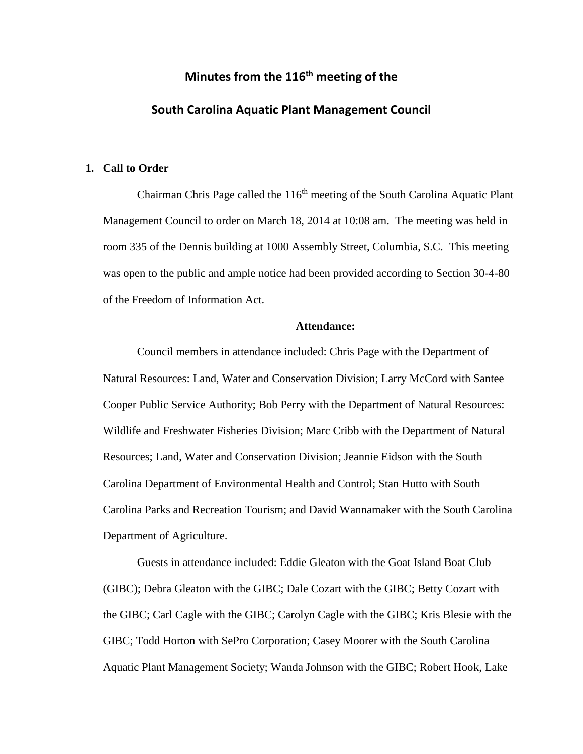# **Minutes from the 116 th meeting of the South Carolina Aquatic Plant Management Council**

### **1. Call to Order**

Chairman Chris Page called the  $116<sup>th</sup>$  meeting of the South Carolina Aquatic Plant Management Council to order on March 18, 2014 at 10:08 am. The meeting was held in room 335 of the Dennis building at 1000 Assembly Street, Columbia, S.C. This meeting was open to the public and ample notice had been provided according to Section 30-4-80 of the Freedom of Information Act.

## **Attendance:**

Council members in attendance included: Chris Page with the Department of Natural Resources: Land, Water and Conservation Division; Larry McCord with Santee Cooper Public Service Authority; Bob Perry with the Department of Natural Resources: Wildlife and Freshwater Fisheries Division; Marc Cribb with the Department of Natural Resources; Land, Water and Conservation Division; Jeannie Eidson with the South Carolina Department of Environmental Health and Control; Stan Hutto with South Carolina Parks and Recreation Tourism; and David Wannamaker with the South Carolina Department of Agriculture.

Guests in attendance included: Eddie Gleaton with the Goat Island Boat Club (GIBC); Debra Gleaton with the GIBC; Dale Cozart with the GIBC; Betty Cozart with the GIBC; Carl Cagle with the GIBC; Carolyn Cagle with the GIBC; Kris Blesie with the GIBC; Todd Horton with SePro Corporation; Casey Moorer with the South Carolina Aquatic Plant Management Society; Wanda Johnson with the GIBC; Robert Hook, Lake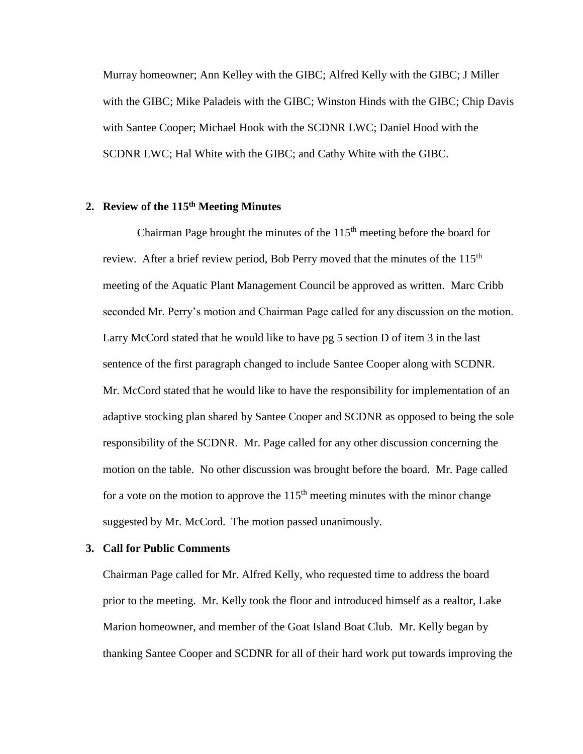Murray homeowner; Ann Kelley with the GIBC; Alfred Kelly with the GIBC; J Miller with the GIBC; Mike Paladeis with the GIBC; Winston Hinds with the GIBC; Chip Davis with Santee Cooper; Michael Hook with the SCDNR LWC; Daniel Hood with the SCDNR LWC; Hal White with the GIBC; and Cathy White with the GIBC.

# **2. Review of the 115th Meeting Minutes**

Chairman Page brought the minutes of the  $115<sup>th</sup>$  meeting before the board for review. After a brief review period, Bob Perry moved that the minutes of the  $115<sup>th</sup>$ meeting of the Aquatic Plant Management Council be approved as written. Marc Cribb seconded Mr. Perry's motion and Chairman Page called for any discussion on the motion. Larry McCord stated that he would like to have pg 5 section D of item 3 in the last sentence of the first paragraph changed to include Santee Cooper along with SCDNR. Mr. McCord stated that he would like to have the responsibility for implementation of an adaptive stocking plan shared by Santee Cooper and SCDNR as opposed to being the sole responsibility of the SCDNR. Mr. Page called for any other discussion concerning the motion on the table. No other discussion was brought before the board. Mr. Page called for a vote on the motion to approve the  $115<sup>th</sup>$  meeting minutes with the minor change suggested by Mr. McCord. The motion passed unanimously.

#### **3. Call for Public Comments**

Chairman Page called for Mr. Alfred Kelly, who requested time to address the board prior to the meeting. Mr. Kelly took the floor and introduced himself as a realtor, Lake Marion homeowner, and member of the Goat Island Boat Club. Mr. Kelly began by thanking Santee Cooper and SCDNR for all of their hard work put towards improving the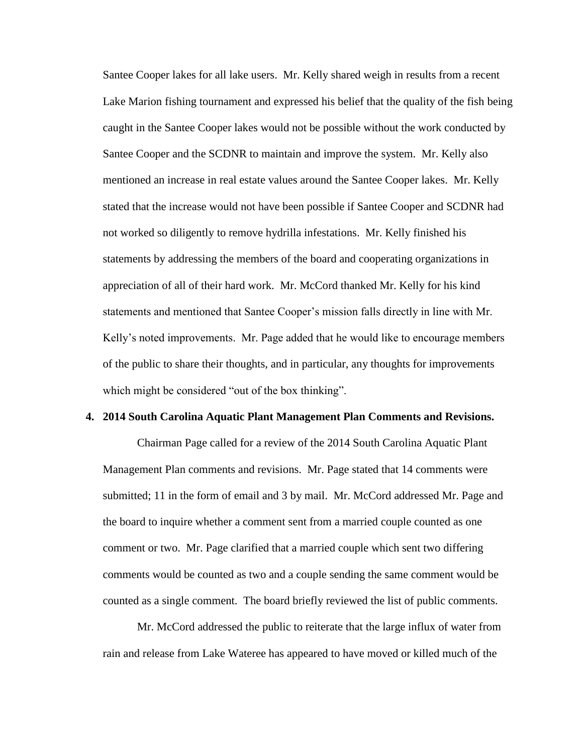Santee Cooper lakes for all lake users. Mr. Kelly shared weigh in results from a recent Lake Marion fishing tournament and expressed his belief that the quality of the fish being caught in the Santee Cooper lakes would not be possible without the work conducted by Santee Cooper and the SCDNR to maintain and improve the system. Mr. Kelly also mentioned an increase in real estate values around the Santee Cooper lakes. Mr. Kelly stated that the increase would not have been possible if Santee Cooper and SCDNR had not worked so diligently to remove hydrilla infestations. Mr. Kelly finished his statements by addressing the members of the board and cooperating organizations in appreciation of all of their hard work. Mr. McCord thanked Mr. Kelly for his kind statements and mentioned that Santee Cooper's mission falls directly in line with Mr. Kelly's noted improvements. Mr. Page added that he would like to encourage members of the public to share their thoughts, and in particular, any thoughts for improvements which might be considered "out of the box thinking".

#### **4. 2014 South Carolina Aquatic Plant Management Plan Comments and Revisions.**

Chairman Page called for a review of the 2014 South Carolina Aquatic Plant Management Plan comments and revisions. Mr. Page stated that 14 comments were submitted; 11 in the form of email and 3 by mail. Mr. McCord addressed Mr. Page and the board to inquire whether a comment sent from a married couple counted as one comment or two. Mr. Page clarified that a married couple which sent two differing comments would be counted as two and a couple sending the same comment would be counted as a single comment. The board briefly reviewed the list of public comments.

Mr. McCord addressed the public to reiterate that the large influx of water from rain and release from Lake Wateree has appeared to have moved or killed much of the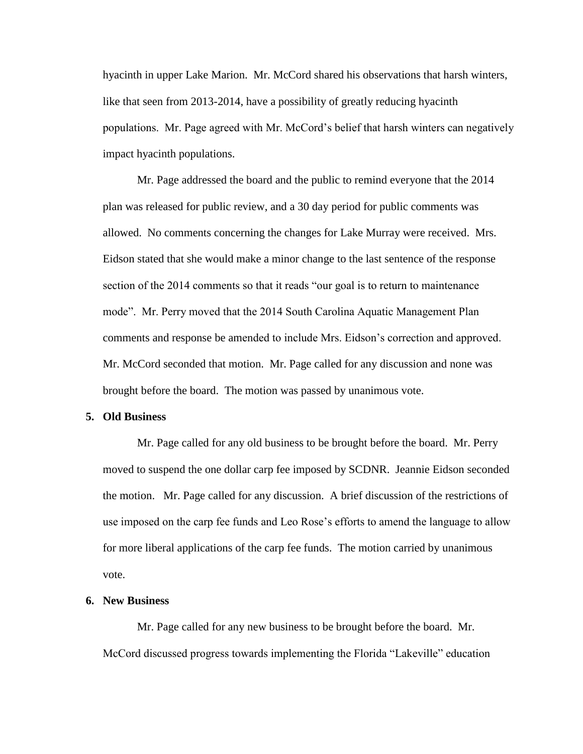hyacinth in upper Lake Marion. Mr. McCord shared his observations that harsh winters, like that seen from 2013-2014, have a possibility of greatly reducing hyacinth populations. Mr. Page agreed with Mr. McCord's belief that harsh winters can negatively impact hyacinth populations.

Mr. Page addressed the board and the public to remind everyone that the 2014 plan was released for public review, and a 30 day period for public comments was allowed. No comments concerning the changes for Lake Murray were received. Mrs. Eidson stated that she would make a minor change to the last sentence of the response section of the 2014 comments so that it reads "our goal is to return to maintenance mode". Mr. Perry moved that the 2014 South Carolina Aquatic Management Plan comments and response be amended to include Mrs. Eidson's correction and approved. Mr. McCord seconded that motion. Mr. Page called for any discussion and none was brought before the board. The motion was passed by unanimous vote.

#### **5. Old Business**

Mr. Page called for any old business to be brought before the board. Mr. Perry moved to suspend the one dollar carp fee imposed by SCDNR. Jeannie Eidson seconded the motion. Mr. Page called for any discussion. A brief discussion of the restrictions of use imposed on the carp fee funds and Leo Rose's efforts to amend the language to allow for more liberal applications of the carp fee funds. The motion carried by unanimous vote.

#### **6. New Business**

Mr. Page called for any new business to be brought before the board. Mr. McCord discussed progress towards implementing the Florida "Lakeville" education